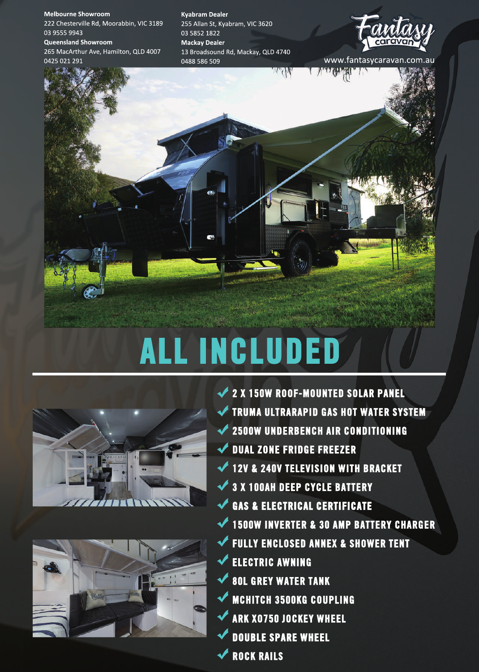**Melbourne Showroom** 222 Chesterville Rd, Moorabbin, VIC 3189 0395559943 **Queensland Showroom** 

265 MacArthur Ave, Hamilton, QLD 4007 0425021291 www.fantasycaravan.com.au

**KyabramDealer** 255 Allan St, Kyabram, VIC 3620 0358521822 **Mackay Dealer** 13 Broadsound Rd, Mackay, QLD 4740 0488586509





# **ALLINCLUDED**





**2X150WROOF-MOUNTEDSOLARPANEL TRUMA ULTRARAPID GAS HOT WATER SYSTEM 2500WUNDERBENCHAIRCONDITIONING DUAL ZONE FRIDGE FREEZER 12V & 240V TELEVISION WITH BRACKET 3X100AHDEEPCYCLEBATTERY** GAS & ELECTRICAL CERTIFICATE **1500WINVERTER&30AMPBATTERYCHARGER FULLY ENCLOSED ANNEX & SHOWER TENT ELECTRICAWNING 80L GREY WATER TANK MCHITCH 3500KG COUPLING ARKXO750JOCKEYWHEEL DOUBLESPAREWHEEL ◆ ROCK RAILS**